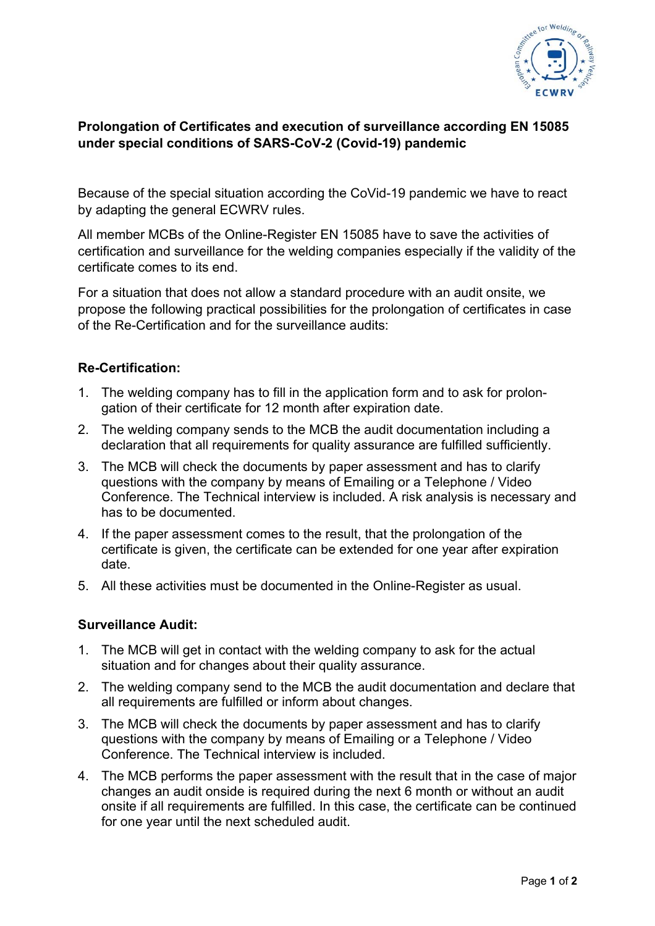

## **Prolongation of Certificates and execution of surveillance according EN 15085 under special conditions of SARS-CoV-2 (Covid-19) pandemic**

Because of the special situation according the CoVid-19 pandemic we have to react by adapting the general ECWRV rules.

All member MCBs of the Online-Register EN 15085 have to save the activities of certification and surveillance for the welding companies especially if the validity of the certificate comes to its end.

For a situation that does not allow a standard procedure with an audit onsite, we propose the following practical possibilities for the prolongation of certificates in case of the Re-Certification and for the surveillance audits:

## **Re-Certification:**

- 1. The welding company has to fill in the application form and to ask for prolongation of their certificate for 12 month after expiration date.
- 2. The welding company sends to the MCB the audit documentation including a declaration that all requirements for quality assurance are fulfilled sufficiently.
- 3. The MCB will check the documents by paper assessment and has to clarify questions with the company by means of Emailing or a Telephone / Video Conference. The Technical interview is included. A risk analysis is necessary and has to be documented.
- 4. If the paper assessment comes to the result, that the prolongation of the certificate is given, the certificate can be extended for one year after expiration date.
- 5. All these activities must be documented in the Online-Register as usual.

## **Surveillance Audit:**

- 1. The MCB will get in contact with the welding company to ask for the actual situation and for changes about their quality assurance.
- 2. The welding company send to the MCB the audit documentation and declare that all requirements are fulfilled or inform about changes.
- 3. The MCB will check the documents by paper assessment and has to clarify questions with the company by means of Emailing or a Telephone / Video Conference. The Technical interview is included.
- 4. The MCB performs the paper assessment with the result that in the case of major changes an audit onside is required during the next 6 month or without an audit onsite if all requirements are fulfilled. In this case, the certificate can be continued for one year until the next scheduled audit.